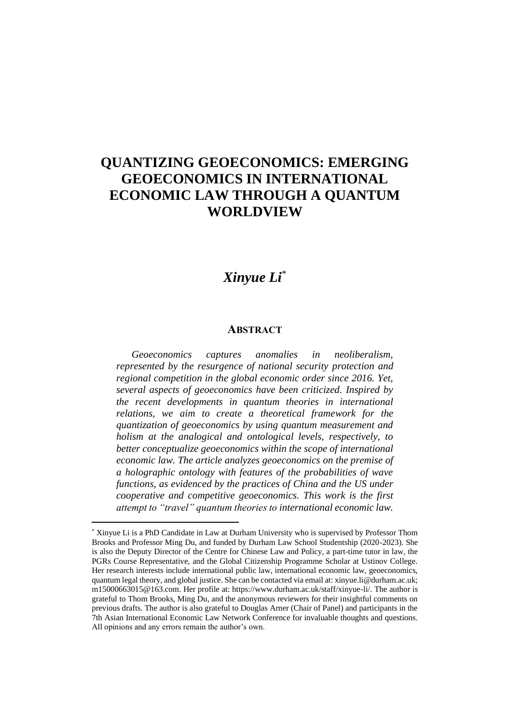## **QUANTIZING GEOECONOMICS: EMERGING GEOECONOMICS IN INTERNATIONAL ECONOMIC LAW THROUGH A QUANTUM WORLDVIEW**

## *Xinyue Li*\*

## **ABSTRACT**

*Geoeconomics captures anomalies in neoliberalism, represented by the resurgence of national security protection and regional competition in the global economic order since 2016. Yet, several aspects of geoeconomics have been criticized. Inspired by the recent developments in quantum theories in international relations, we aim to create a theoretical framework for the quantization of geoeconomics by using quantum measurement and holism at the analogical and ontological levels, respectively, to better conceptualize geoeconomics within the scope of international economic law. The article analyzes geoeconomics on the premise of a holographic ontology with features of the probabilities of wave functions, as evidenced by the practices of China and the US under cooperative and competitive geoeconomics. This work is the first attempt to "travel" quantum theories to international economic law.* 

<sup>\*</sup> Xinyue Li is a PhD Candidate in Law at Durham University who is supervised by Professor Thom Brooks and Professor Ming Du, and funded by Durham Law School Studentship (2020-2023). She is also the Deputy Director of the Centre for Chinese Law and Policy, a part-time tutor in law, the PGRs Course Representative, and the Global Citizenship Programme Scholar at Ustinov College. Her research interests include international public law, international economic law, geoeconomics, quantum legal theory, and global justice. She can be contacted via email at: xinyue.li@durham.ac.uk; m15000663015@163.com. Her profile at: https://www.durham.ac.uk/staff/xinyue-li/. The author is grateful to Thom Brooks, Ming Du, and the anonymous reviewers for their insightful comments on previous drafts. The author is also grateful to Douglas Arner (Chair of Panel) and participants in the 7th Asian International Economic Law Network Conference for invaluable thoughts and questions. All opinions and any errors remain the author's own.